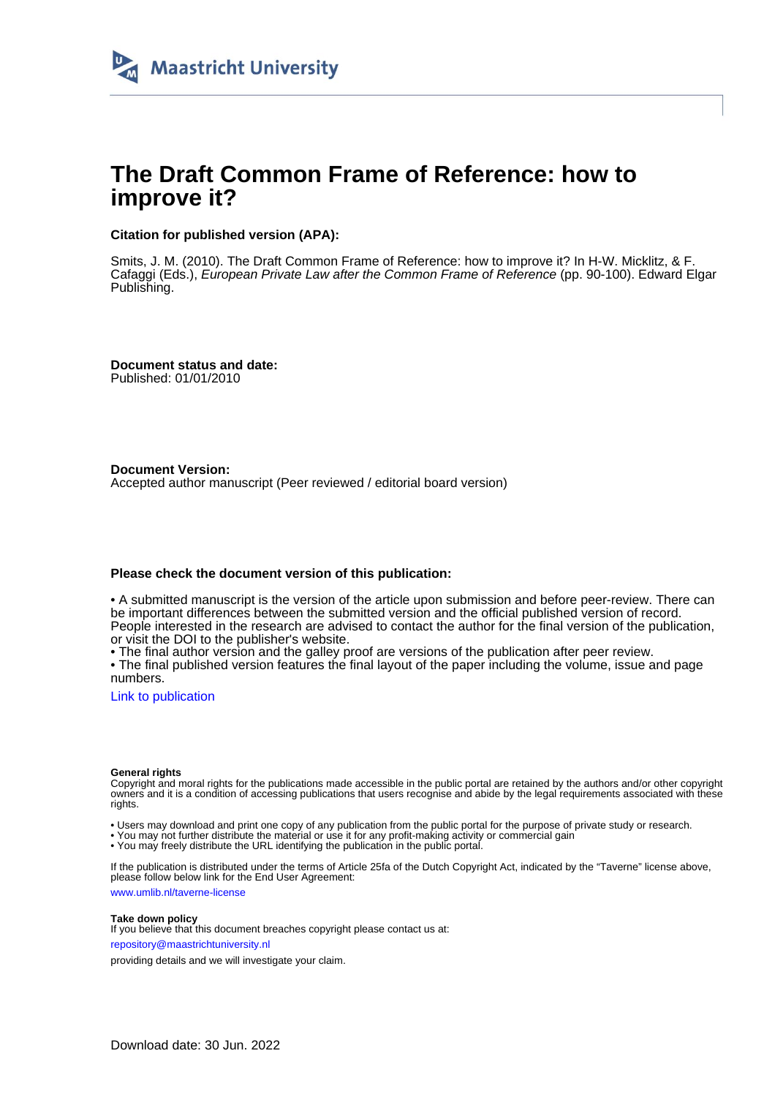

# **The Draft Common Frame of Reference: how to improve it?**

#### **Citation for published version (APA):**

Smits, J. M. (2010). The Draft Common Frame of Reference: how to improve it? In H-W. Micklitz, & F. Cafaggi (Eds.), *European Private Law after the Common Frame of Reference* (pp. 90-100). Edward Elgar Publishing.

**Document status and date:** Published: 01/01/2010

**Document Version:** Accepted author manuscript (Peer reviewed / editorial board version)

#### **Please check the document version of this publication:**

• A submitted manuscript is the version of the article upon submission and before peer-review. There can be important differences between the submitted version and the official published version of record. People interested in the research are advised to contact the author for the final version of the publication, or visit the DOI to the publisher's website.

• The final author version and the galley proof are versions of the publication after peer review.

• The final published version features the final layout of the paper including the volume, issue and page numbers.

[Link to publication](https://cris.maastrichtuniversity.nl/en/publications/9d1140cc-b998-4466-bd2e-fb3e0b0f5f8b)

#### **General rights**

Copyright and moral rights for the publications made accessible in the public portal are retained by the authors and/or other copyright owners and it is a condition of accessing publications that users recognise and abide by the legal requirements associated with these rights.

• Users may download and print one copy of any publication from the public portal for the purpose of private study or research.

• You may not further distribute the material or use it for any profit-making activity or commercial gain

• You may freely distribute the URL identifying the publication in the public portal.

If the publication is distributed under the terms of Article 25fa of the Dutch Copyright Act, indicated by the "Taverne" license above, please follow below link for the End User Agreement:

www.umlib.nl/taverne-license

#### **Take down policy**

If you believe that this document breaches copyright please contact us at: repository@maastrichtuniversity.nl

providing details and we will investigate your claim.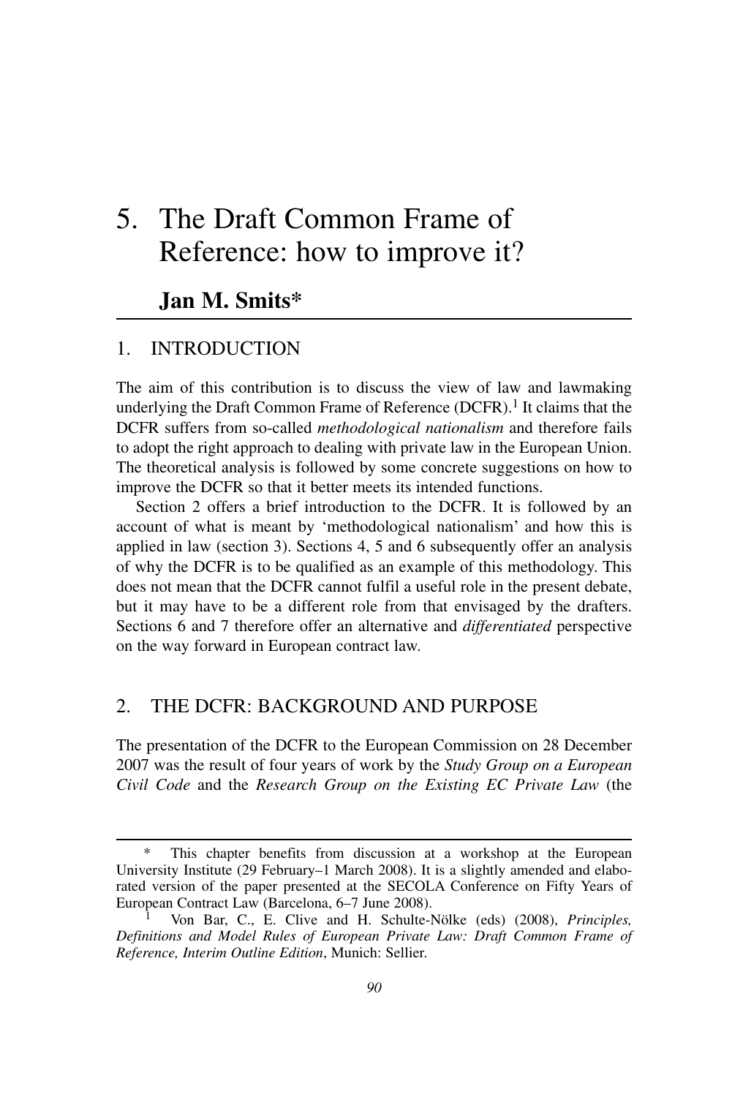# 5. The Draft Common Frame of Reference: how to improve it?

# **Jan M. Smits\***

# 1. INTRODUCTION

The aim of this contribution is to discuss the view of law and lawmaking underlying the Draft Common Frame of Reference  $(DCFR)$ <sup>1</sup>. It claims that the DCFR suffers from so-called *methodological nationalism* and therefore fails to adopt the right approach to dealing with private law in the European Union. The theoretical analysis is followed by some concrete suggestions on how to improve the DCFR so that it better meets its intended functions.

Section 2 offers a brief introduction to the DCFR. It is followed by an account of what is meant by 'methodological nationalism' and how this is applied in law (section 3). Sections 4, 5 and 6 subsequently offer an analysis of why the DCFR is to be qualified as an example of this methodology. This does not mean that the DCFR cannot fulfil a useful role in the present debate, but it may have to be a different role from that envisaged by the drafters. Sections 6 and 7 therefore offer an alternative and *differentiated* perspective on the way forward in European contract law.

#### 2. THE DCFR: BACKGROUND AND PURPOSE

The presentation of the DCFR to the European Commission on 28 December 2007 was the result of four years of work by the *Study Group on a European Civil Code* and the *Research Group on the Existing EC Private Law* (the

This chapter benefits from discussion at a workshop at the European University Institute (29 February–1 March 2008). It is a slightly amended and elaborated version of the paper presented at the SECOLA Conference on Fifty Years of European Contract Law (Barcelona, 6–7 June 2008).

<sup>1</sup> Von Bar, C., E. Clive and H. Schulte-Nölke (eds) (2008), *Principles, Definitions and Model Rules of European Private Law: Draft Common Frame of Reference, Interim Outline Edition*, Munich: Sellier.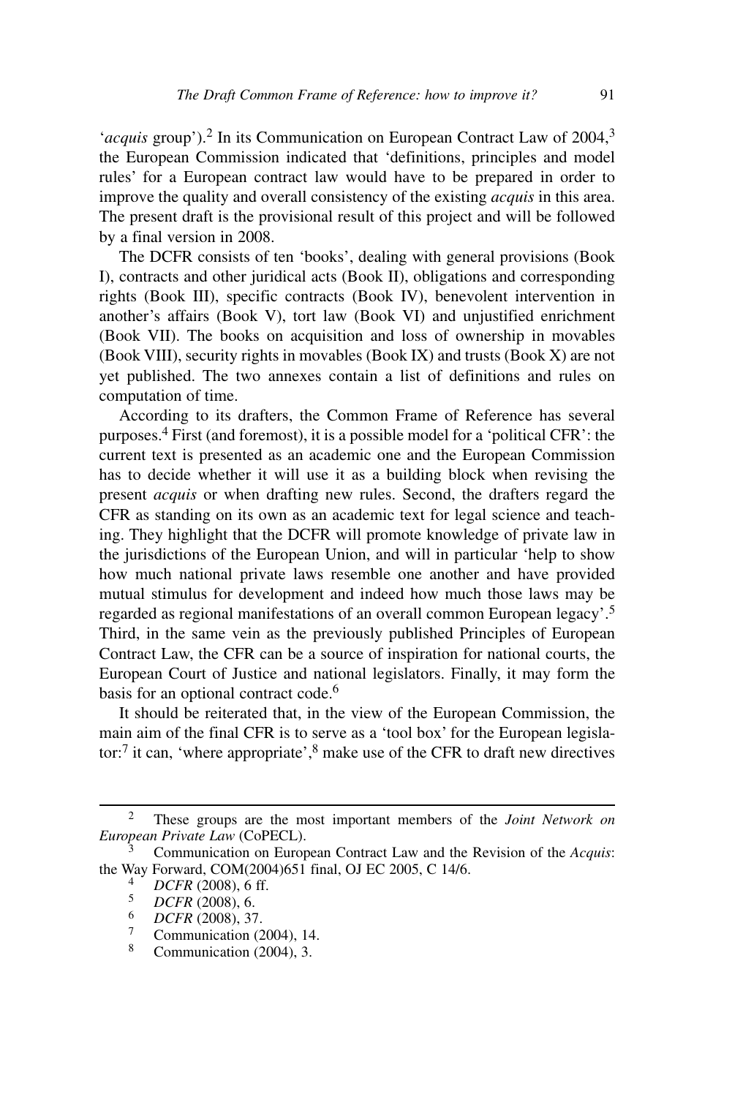*'acquis* group').<sup>2</sup> In its Communication on European Contract Law of 2004.<sup>3</sup> the European Commission indicated that 'definitions, principles and model rules' for a European contract law would have to be prepared in order to improve the quality and overall consistency of the existing *acquis* in this area. The present draft is the provisional result of this project and will be followed by a final version in 2008.

The DCFR consists of ten 'books', dealing with general provisions (Book I), contracts and other juridical acts (Book II), obligations and corresponding rights (Book III), specific contracts (Book IV), benevolent intervention in another's affairs (Book V), tort law (Book VI) and unjustified enrichment (Book VII). The books on acquisition and loss of ownership in movables (Book VIII), security rights in movables (Book IX) and trusts (Book X) are not yet published. The two annexes contain a list of definitions and rules on computation of time.

According to its drafters, the Common Frame of Reference has several purposes.<sup>4</sup> First (and foremost), it is a possible model for a 'political CFR': the current text is presented as an academic one and the European Commission has to decide whether it will use it as a building block when revising the present *acquis* or when drafting new rules. Second, the drafters regard the CFR as standing on its own as an academic text for legal science and teaching. They highlight that the DCFR will promote knowledge of private law in the jurisdictions of the European Union, and will in particular 'help to show how much national private laws resemble one another and have provided mutual stimulus for development and indeed how much those laws may be regarded as regional manifestations of an overall common European legacy'.<sup>5</sup> Third, in the same vein as the previously published Principles of European Contract Law, the CFR can be a source of inspiration for national courts, the European Court of Justice and national legislators. Finally, it may form the basis for an optional contract code.<sup>6</sup>

It should be reiterated that, in the view of the European Commission, the main aim of the final CFR is to serve as a 'tool box' for the European legislator: $7$  it can, 'where appropriate', $8$  make use of the CFR to draft new directives

<sup>2</sup> These groups are the most important members of the *Joint Network on European Private Law* (CoPECL).

<sup>3</sup> Communication on European Contract Law and the Revision of the *Acquis*: the Way Forward, COM(2004)651 final, OJ EC 2005, C 14/6.

 $^{4}$  *DCFR* (2008), 6 ff.<br>5 *DCFR* (2008) 6

 $^{5}$  *DCFR* (2008), 6.<br>6 *DCFB* (2008), 27

 $^{6}$  *DCFR* (2008), 37.

 $\frac{7}{8}$  Communication (2004), 14.

Communication (2004), 3.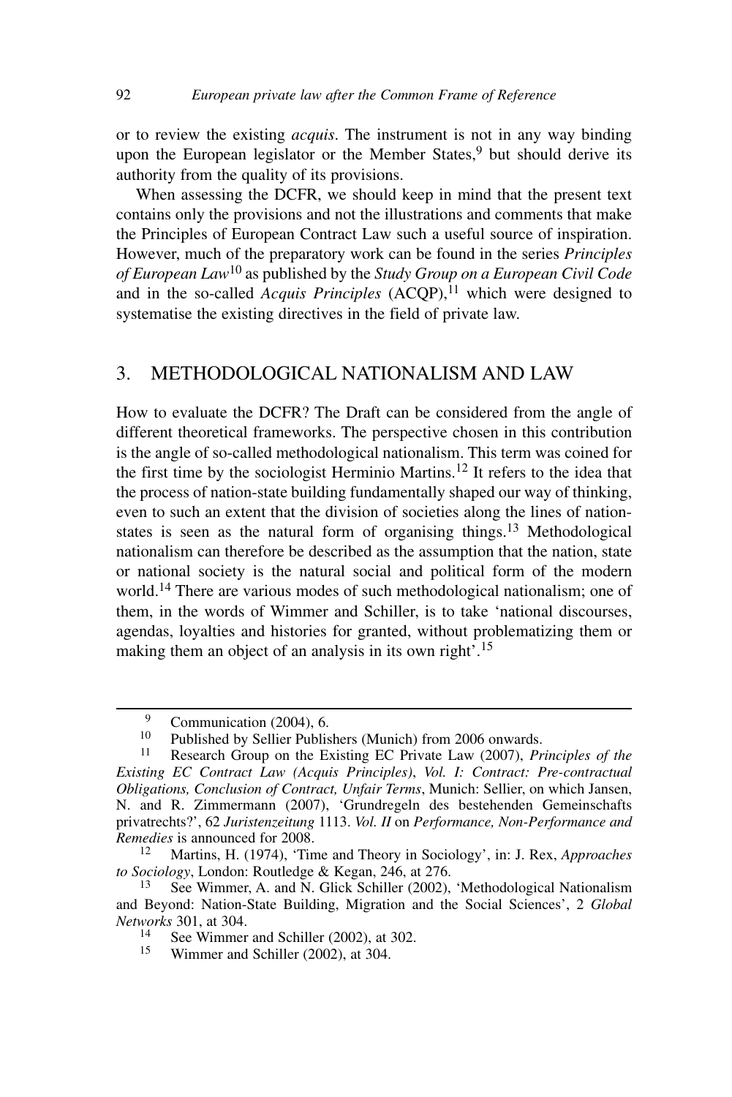or to review the existing *acquis*. The instrument is not in any way binding upon the European legislator or the Member States, $9$  but should derive its authority from the quality of its provisions.

When assessing the DCFR, we should keep in mind that the present text contains only the provisions and not the illustrations and comments that make the Principles of European Contract Law such a useful source of inspiration. However, much of the preparatory work can be found in the series *Principles of European Law*<sup>10</sup> as published by the *Study Group on a European Civil Code* and in the so-called *Acquis Principles* (ACOP),<sup>11</sup> which were designed to systematise the existing directives in the field of private law.

### 3. METHODOLOGICAL NATIONALISM AND LAW

How to evaluate the DCFR? The Draft can be considered from the angle of different theoretical frameworks. The perspective chosen in this contribution is the angle of so-called methodological nationalism. This term was coined for the first time by the sociologist Herminio Martins.12 It refers to the idea that the process of nation-state building fundamentally shaped our way of thinking, even to such an extent that the division of societies along the lines of nationstates is seen as the natural form of organising things.<sup>13</sup> Methodological nationalism can therefore be described as the assumption that the nation, state or national society is the natural social and political form of the modern world.<sup>14</sup> There are various modes of such methodological nationalism; one of them, in the words of Wimmer and Schiller, is to take 'national discourses, agendas, loyalties and histories for granted, without problematizing them or making them an object of an analysis in its own right'.<sup>15</sup>

<sup>&</sup>lt;sup>9</sup> Communication (2004), 6.<br><sup>10</sup> Published by Sellier Publis

<sup>&</sup>lt;sup>10</sup> Published by Sellier Publishers (Munich) from 2006 onwards.<br><sup>11</sup> Research Group on the Existing EC Private Law (2007) *Pr* 

Research Group on the Existing EC Private Law (2007), *Principles of the Existing EC Contract Law (Acquis Principles)*, *Vol. I: Contract: Pre-contractual Obligations, Conclusion of Contract, Unfair Terms*, Munich: Sellier, on which Jansen, N. and R. Zimmermann (2007), 'Grundregeln des bestehenden Gemeinschafts privatrechts?', 62 *Juristenzeitung* 1113. *Vol. II* on *Performance, Non-Performance and Remedies* is announced for 2008.<br><sup>12</sup> Martins H (1974) 'Tin

<sup>12</sup> Martins, H. (1974), 'Time and Theory in Sociology', in: J. Rex, *Approaches to Sociology*, London: Routledge & Kegan, 246, at 276.

See Wimmer, A. and N. Glick Schiller (2002), 'Methodological Nationalism and Beyond: Nation-State Building, Migration and the Social Sciences', 2 *Global Networks* 301, at 304.

<sup>&</sup>lt;sup>14</sup> See Wimmer and Schiller (2002), at 302.<br><sup>15</sup> Wimmer and Schiller (2002), at 304

Wimmer and Schiller (2002), at 304.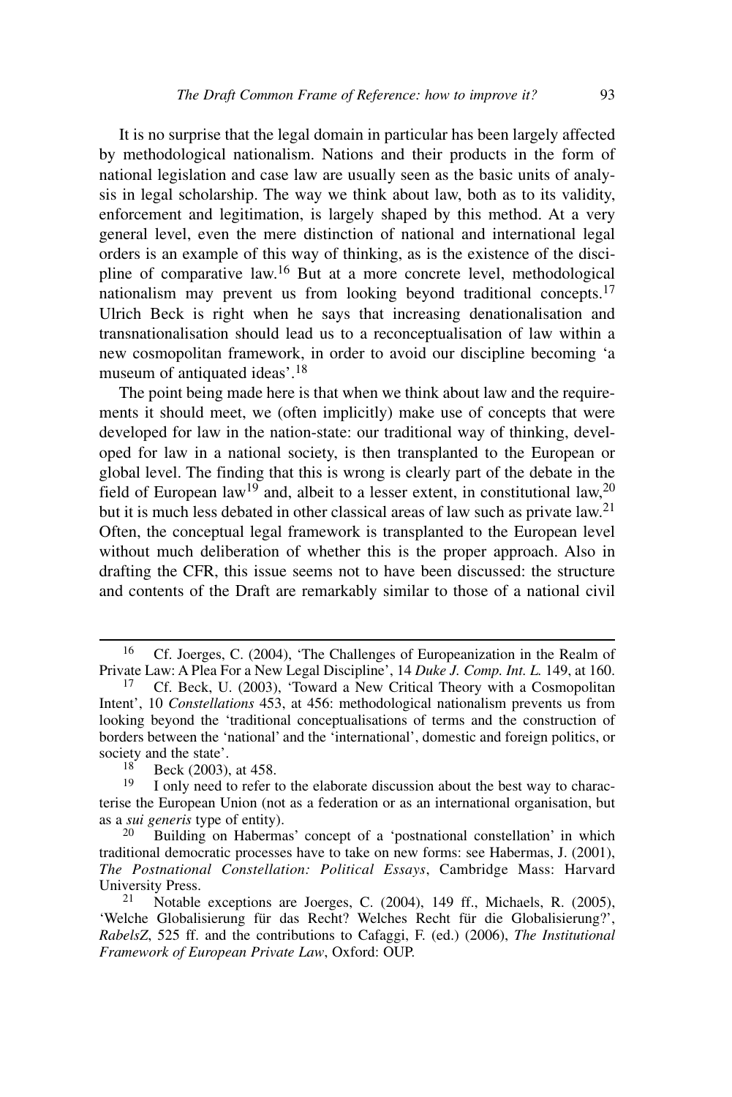It is no surprise that the legal domain in particular has been largely affected by methodological nationalism. Nations and their products in the form of national legislation and case law are usually seen as the basic units of analysis in legal scholarship. The way we think about law, both as to its validity, enforcement and legitimation, is largely shaped by this method. At a very general level, even the mere distinction of national and international legal orders is an example of this way of thinking, as is the existence of the discipline of comparative law.16 But at a more concrete level, methodological nationalism may prevent us from looking beyond traditional concepts.<sup>17</sup> Ulrich Beck is right when he says that increasing denationalisation and transnationalisation should lead us to a reconceptualisation of law within a new cosmopolitan framework, in order to avoid our discipline becoming 'a museum of antiquated ideas'.<sup>18</sup>

The point being made here is that when we think about law and the requirements it should meet, we (often implicitly) make use of concepts that were developed for law in the nation-state: our traditional way of thinking, developed for law in a national society, is then transplanted to the European or global level. The finding that this is wrong is clearly part of the debate in the field of European law<sup>19</sup> and, albeit to a lesser extent, in constitutional law,  $20$ but it is much less debated in other classical areas of law such as private law. 21 Often, the conceptual legal framework is transplanted to the European level without much deliberation of whether this is the proper approach. Also in drafting the CFR, this issue seems not to have been discussed: the structure and contents of the Draft are remarkably similar to those of a national civil

<sup>16</sup> Cf. Joerges, C. (2004), 'The Challenges of Europeanization in the Realm of Private Law: A Plea For a New Legal Discipline', 14 *Duke J. Comp. Int. L.* 149, at 160.

Cf. Beck, U. (2003), 'Toward a New Critical Theory with a Cosmopolitan Intent', 10 *Constellations* 453, at 456: methodological nationalism prevents us from looking beyond the 'traditional conceptualisations of terms and the construction of borders between the 'national' and the 'international', domestic and foreign politics, or society and the state'.

 $18$  Beck (2003), at 458.

I only need to refer to the elaborate discussion about the best way to characterise the European Union (not as a federation or as an international organisation, but as a *sui generis* type of entity).

Building on Habermas' concept of a 'postnational constellation' in which traditional democratic processes have to take on new forms: see Habermas, J. (2001), *The Postnational Constellation: Political Essays*, Cambridge Mass: Harvard University Press.<br><sup>21</sup> Notable

Notable exceptions are Joerges, C. (2004), 149 ff., Michaels, R. (2005), 'Welche Globalisierung für das Recht? Welches Recht für die Globalisierung?', *RabelsZ*, 525 ff. and the contributions to Cafaggi, F. (ed.) (2006), *The Institutional Framework of European Private Law*, Oxford: OUP.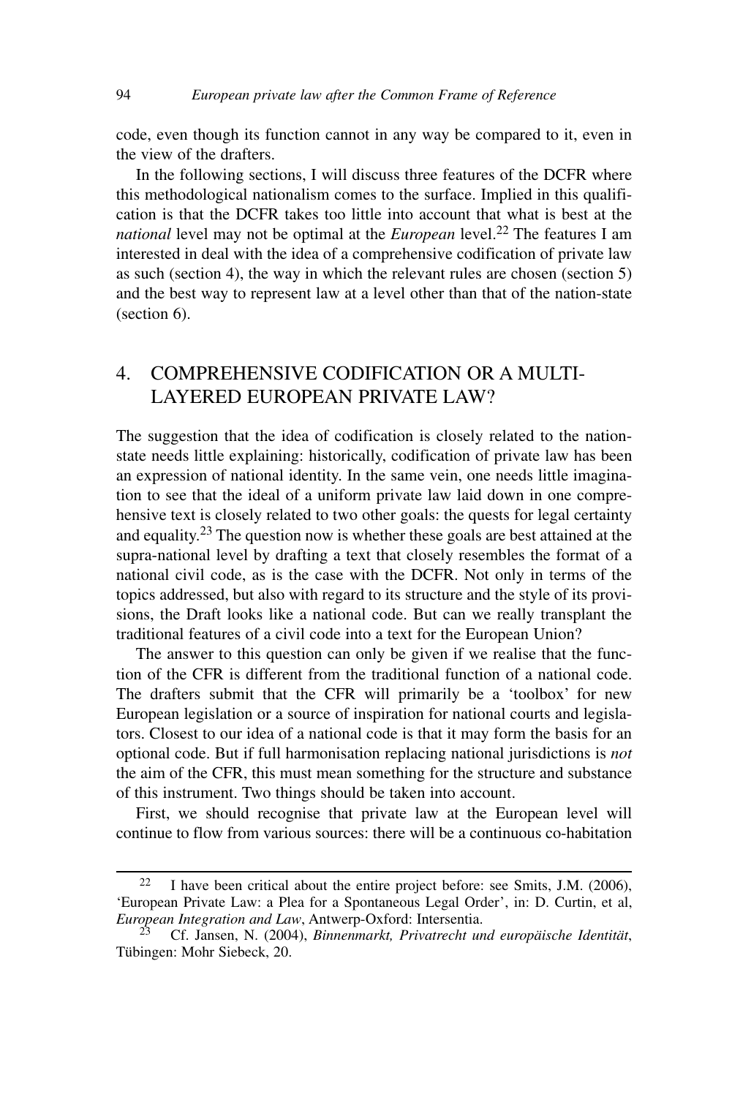code, even though its function cannot in any way be compared to it, even in the view of the drafters.

In the following sections, I will discuss three features of the DCFR where this methodological nationalism comes to the surface. Implied in this qualification is that the DCFR takes too little into account that what is best at the *national* level may not be optimal at the *European* level.<sup>22</sup> The features I am interested in deal with the idea of a comprehensive codification of private law as such (section 4), the way in which the relevant rules are chosen (section 5) and the best way to represent law at a level other than that of the nation-state (section 6).

# 4. COMPREHENSIVE CODIFICATION OR A MULTI-LAYERED EUROPEAN PRIVATE LAW?

The suggestion that the idea of codification is closely related to the nationstate needs little explaining: historically, codification of private law has been an expression of national identity. In the same vein, one needs little imagination to see that the ideal of a uniform private law laid down in one comprehensive text is closely related to two other goals: the quests for legal certainty and equality.<sup>23</sup> The question now is whether these goals are best attained at the supra-national level by drafting a text that closely resembles the format of a national civil code, as is the case with the DCFR. Not only in terms of the topics addressed, but also with regard to its structure and the style of its provisions, the Draft looks like a national code. But can we really transplant the traditional features of a civil code into a text for the European Union?

The answer to this question can only be given if we realise that the function of the CFR is different from the traditional function of a national code. The drafters submit that the CFR will primarily be a 'toolbox' for new European legislation or a source of inspiration for national courts and legislators. Closest to our idea of a national code is that it may form the basis for an optional code. But if full harmonisation replacing national jurisdictions is *not* the aim of the CFR, this must mean something for the structure and substance of this instrument. Two things should be taken into account.

First, we should recognise that private law at the European level will continue to flow from various sources: there will be a continuous co-habitation

<sup>22</sup> I have been critical about the entire project before: see Smits, J.M. (2006), 'European Private Law: a Plea for a Spontaneous Legal Order', in: D. Curtin, et al, *European Integration and Law*, Antwerp-Oxford: Intersentia.

<sup>23</sup> Cf. Jansen, N. (2004), *Binnenmarkt, Privatrecht und europäische Identität*, Tübingen: Mohr Siebeck, 20.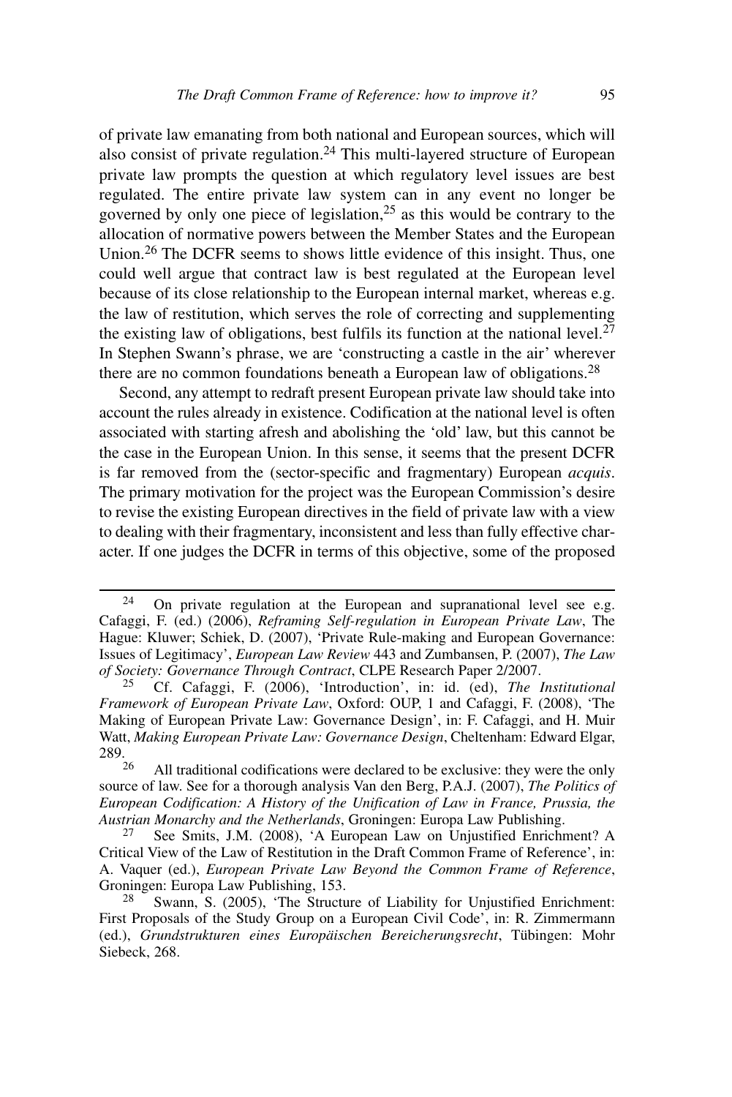of private law emanating from both national and European sources, which will also consist of private regulation.<sup>24</sup> This multi-layered structure of European private law prompts the question at which regulatory level issues are best regulated. The entire private law system can in any event no longer be governed by only one piece of legislation,<sup>25</sup> as this would be contrary to the allocation of normative powers between the Member States and the European Union.<sup>26</sup> The DCFR seems to shows little evidence of this insight. Thus, one could well argue that contract law is best regulated at the European level because of its close relationship to the European internal market, whereas e.g. the law of restitution, which serves the role of correcting and supplementing the existing law of obligations, best fulfils its function at the national level.<sup>27</sup> In Stephen Swann's phrase, we are 'constructing a castle in the air' wherever there are no common foundations beneath a European law of obligations.<sup>28</sup>

Second, any attempt to redraft present European private law should take into account the rules already in existence. Codification at the national level is often associated with starting afresh and abolishing the 'old' law, but this cannot be the case in the European Union. In this sense, it seems that the present DCFR is far removed from the (sector-specific and fragmentary) European *acquis*. The primary motivation for the project was the European Commission's desire to revise the existing European directives in the field of private law with a view to dealing with their fragmentary, inconsistent and less than fully effective character. If one judges the DCFR in terms of this objective, some of the proposed

 $24$  On private regulation at the European and supranational level see e.g. Cafaggi, F. (ed.) (2006), *Reframing Self-regulation in European Private Law*, The Hague: Kluwer; Schiek, D. (2007), 'Private Rule-making and European Governance: Issues of Legitimacy', *European Law Review* 443 and Zumbansen, P. (2007), *The Law of Society: Governance Through Contract*, CLPE Research Paper 2/2007.

<sup>25</sup> Cf. Cafaggi, F. (2006), 'Introduction', in: id. (ed), *The Institutional Framework of European Private Law*, Oxford: OUP, 1 and Cafaggi, F. (2008), 'The Making of European Private Law: Governance Design', in: F. Cafaggi, and H. Muir Watt, *Making European Private Law: Governance Design*, Cheltenham: Edward Elgar,  $\frac{289}{26}$ 

All traditional codifications were declared to be exclusive: they were the only source of law. See for a thorough analysis Van den Berg, P.A.J. (2007), *The Politics of European Codification: A History of the Unification of Law in France, Prussia, the Austrian Monarchy and the Netherlands*, Groningen: Europa Law Publishing.

See Smits, J.M. (2008), 'A European Law on Unjustified Enrichment? A Critical View of the Law of Restitution in the Draft Common Frame of Reference', in: A. Vaquer (ed.), *European Private Law Beyond the Common Frame of Reference*, Groningen: Europa Law Publishing, 153.

Swann, S. (2005), 'The Structure of Liability for Unjustified Enrichment: First Proposals of the Study Group on a European Civil Code', in: R. Zimmermann (ed.), *Grundstrukturen eines Europäischen Bereicherungsrecht*, Tübingen: Mohr Siebeck, 268.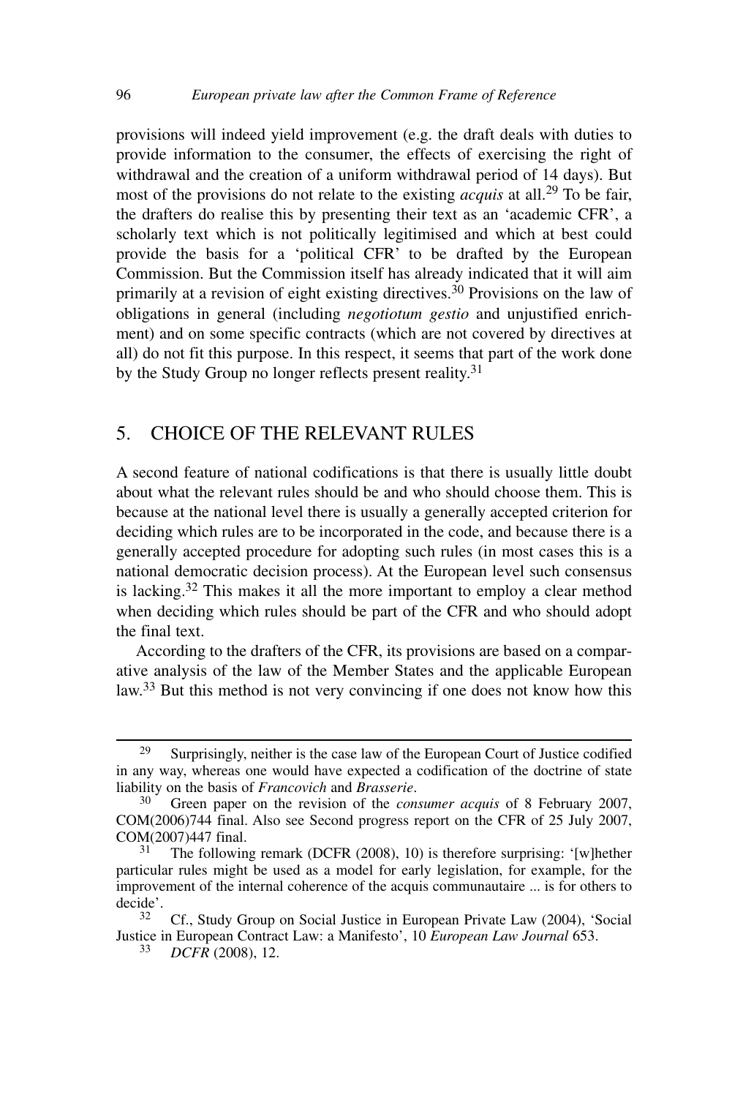provisions will indeed yield improvement (e.g. the draft deals with duties to provide information to the consumer, the effects of exercising the right of withdrawal and the creation of a uniform withdrawal period of 14 days). But most of the provisions do not relate to the existing *acquis* at all.29 To be fair, the drafters do realise this by presenting their text as an 'academic CFR', a scholarly text which is not politically legitimised and which at best could provide the basis for a 'political CFR' to be drafted by the European Commission. But the Commission itself has already indicated that it will aim primarily at a revision of eight existing directives.<sup>30</sup> Provisions on the law of obligations in general (including *negotiotum gestio* and unjustified enrichment) and on some specific contracts (which are not covered by directives at all) do not fit this purpose. In this respect, it seems that part of the work done by the Study Group no longer reflects present reality.<sup>31</sup>

## 5. CHOICE OF THE RELEVANT RULES

A second feature of national codifications is that there is usually little doubt about what the relevant rules should be and who should choose them. This is because at the national level there is usually a generally accepted criterion for deciding which rules are to be incorporated in the code, and because there is a generally accepted procedure for adopting such rules (in most cases this is a national democratic decision process). At the European level such consensus is lacking.<sup>32</sup> This makes it all the more important to employ a clear method when deciding which rules should be part of the CFR and who should adopt the final text.

According to the drafters of the CFR, its provisions are based on a comparative analysis of the law of the Member States and the applicable European law. <sup>33</sup> But this method is not very convincing if one does not know how this

<sup>&</sup>lt;sup>29</sup> Surprisingly, neither is the case law of the European Court of Justice codified in any way, whereas one would have expected a codification of the doctrine of state liability on the basis of *Francovich* and *Brasserie*. <sup>30</sup> Green paper on the revision of the *consumer acquis* of 8 February 2007,

COM(2006)744 final. Also see Second progress report on the CFR of 25 July 2007,  $COM(2007)447$  final.<br> $\frac{31}{2}$  The following

The following remark (DCFR (2008), 10) is therefore surprising: '[w]hether particular rules might be used as a model for early legislation, for example, for the improvement of the internal coherence of the acquis communautaire ... is for others to  $\text{decide'}$ .

<sup>32</sup> Cf., Study Group on Social Justice in European Private Law (2004), 'Social Justice in European Contract Law: a Manifesto', 10 *European Law Journal* 653.

<sup>33</sup> *DCFR* (2008), 12.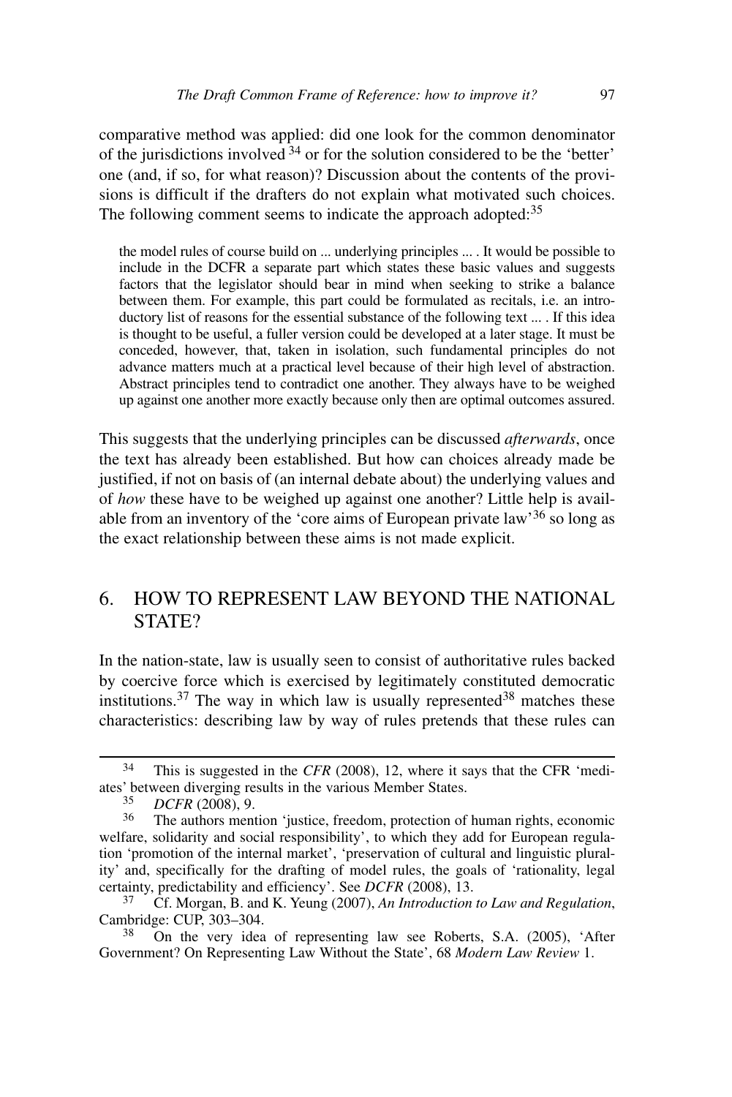comparative method was applied: did one look for the common denominator of the jurisdictions involved  $34$  or for the solution considered to be the 'better' one (and, if so, for what reason)? Discussion about the contents of the provisions is difficult if the drafters do not explain what motivated such choices. The following comment seems to indicate the approach adopted:<sup>35</sup>

the model rules of course build on ... underlying principles ... . It would be possible to include in the DCFR a separate part which states these basic values and suggests factors that the legislator should bear in mind when seeking to strike a balance between them. For example, this part could be formulated as recitals, i.e. an introductory list of reasons for the essential substance of the following text ... . If this idea is thought to be useful, a fuller version could be developed at a later stage. It must be conceded, however, that, taken in isolation, such fundamental principles do not advance matters much at a practical level because of their high level of abstraction. Abstract principles tend to contradict one another. They always have to be weighed up against one another more exactly because only then are optimal outcomes assured.

This suggests that the underlying principles can be discussed *afterwards*, once the text has already been established. But how can choices already made be justified, if not on basis of (an internal debate about) the underlying values and of *how* these have to be weighed up against one another? Little help is available from an inventory of the 'core aims of European private  $law<sup>36</sup>$  so long as the exact relationship between these aims is not made explicit.

# 6. HOW TO REPRESENT LAW BEYOND THE NATIONAL STATE?

In the nation-state, law is usually seen to consist of authoritative rules backed by coercive force which is exercised by legitimately constituted democratic institutions.<sup>37</sup> The way in which law is usually represented<sup>38</sup> matches these characteristics: describing law by way of rules pretends that these rules can

<sup>34</sup> This is suggested in the *CFR* (2008), 12, where it says that the CFR 'mediates' between diverging results in the various Member States.<br> $\frac{35}{2}$  DCER (2008) 9

<sup>&</sup>lt;sup>35</sup> *DCFR* (2008), 9.<br><sup>36</sup> The authors ment

The authors mention 'justice, freedom, protection of human rights, economic welfare, solidarity and social responsibility', to which they add for European regulation 'promotion of the internal market', 'preservation of cultural and linguistic plurality' and, specifically for the drafting of model rules, the goals of 'rationality, legal certainty, predictability and efficiency'. See *DCFR* (2008), 13.<br><sup>37</sup> Cf. Morgan, B. and K. Yeung (2007), An Introduction

<sup>37</sup> Cf. Morgan, B. and K. Yeung (2007), *An Introduction to Law and Regulation*, Cambridge: CUP, 303–304.

<sup>38</sup> On the very idea of representing law see Roberts, S.A. (2005), 'After Government? On Representing Law Without the State', 68 *Modern Law Review* 1.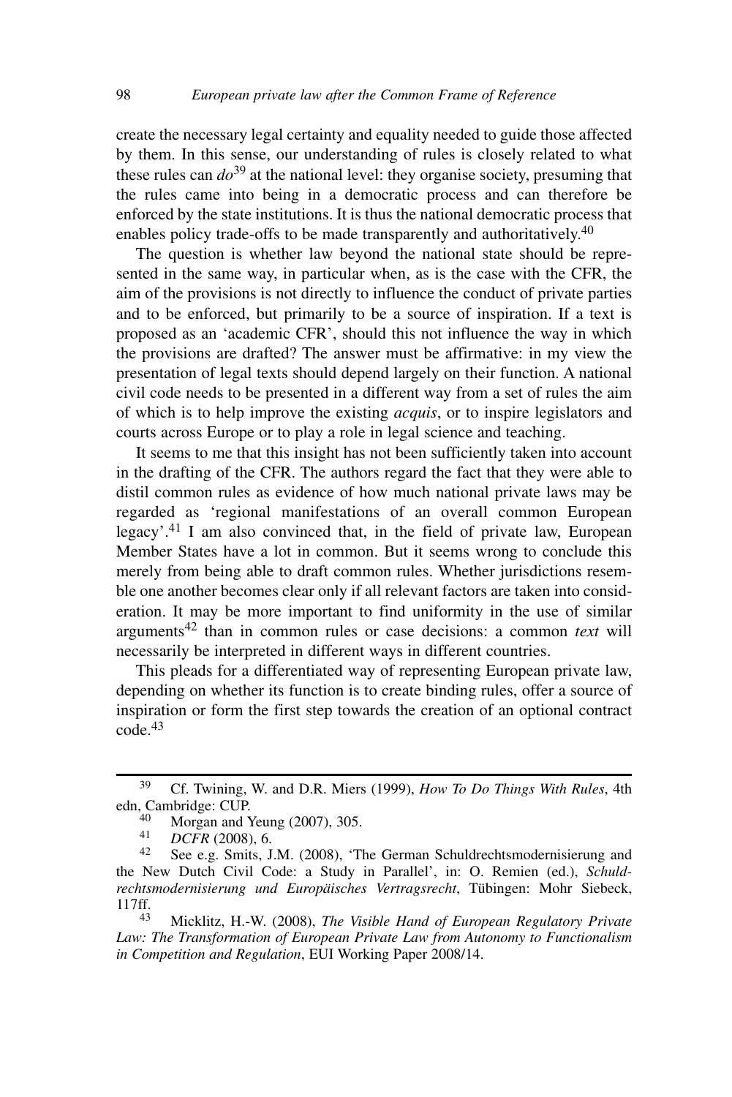create the necessary legal certainty and equality needed to guide those affected by them. In this sense, our understanding of rules is closely related to what these rules can  $d\omega^{39}$  at the national level: they organise society, presuming that the rules came into being in a democratic process and can therefore be enforced by the state institutions. It is thus the national democratic process that enables policy trade-offs to be made transparently and authoritatively.<sup>40</sup>

The question is whether law beyond the national state should be represented in the same way, in particular when, as is the case with the CFR, the aim of the provisions is not directly to influence the conduct of private parties and to be enforced, but primarily to be a source of inspiration. If a text is proposed as an 'academic CFR', should this not influence the way in which the provisions are drafted? The answer must be affirmative: in my view the presentation of legal texts should depend largely on their function. A national civil code needs to be presented in a different way from a set of rules the aim of which is to help improve the existing *acquis*, or to inspire legislators and courts across Europe or to play a role in legal science and teaching.

It seems to me that this insight has not been sufficiently taken into account in the drafting of the CFR. The authors regard the fact that they were able to distil common rules as evidence of how much national private laws may be regarded as 'regional manifestations of an overall common European legacy'.41 I am also convinced that, in the field of private law, European Member States have a lot in common. But it seems wrong to conclude this merely from being able to draft common rules. Whether jurisdictions resemble one another becomes clear only if all relevant factors are taken into consideration. It may be more important to find uniformity in the use of similar arguments<sup>42</sup> than in common rules or case decisions: a common *text* will necessarily be interpreted in different ways in different countries.

This pleads for a differentiated way of representing European private law, depending on whether its function is to create binding rules, offer a source of inspiration or form the first step towards the creation of an optional contract code.<sup>43</sup>

<sup>39</sup> Cf. Twining, W. and D.R. Miers (1999), *How To Do Things With Rules*, 4th edn, Cambridge: CUP.<br> $^{40}$  Morgan and Yeung (2007), 305.<br> $^{41}$  DCEP (2008) 6

 $^{41}$  *DCFR* (2008), 6.<br><sup>42</sup> See e.g. Smits I

See e.g. Smits, J.M. (2008), 'The German Schuldrechtsmodernisierung and the New Dutch Civil Code: a Study in Parallel', in: O. Remien (ed.), *Schuldrechtsmodernisierung und Europäisches Vertragsrecht*, Tübingen: Mohr Siebeck, 117ff.

<sup>43</sup> Micklitz, H.-W. (2008), *The Visible Hand of European Regulatory Private Law: The Transformation of European Private Law from Autonomy to Functionalism in Competition and Regulation*, EUI Working Paper 2008/14.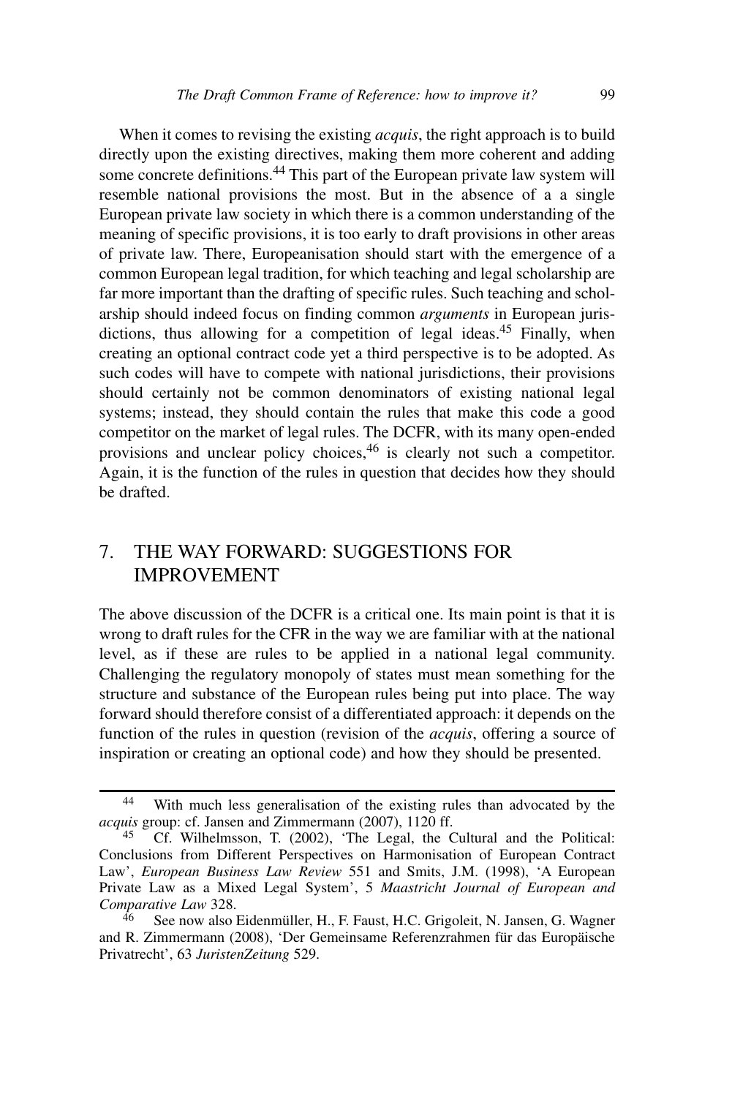When it comes to revising the existing *acquis*, the right approach is to build directly upon the existing directives, making them more coherent and adding some concrete definitions.<sup>44</sup> This part of the European private law system will resemble national provisions the most. But in the absence of a a single European private law society in which there is a common understanding of the meaning of specific provisions, it is too early to draft provisions in other areas of private law. There, Europeanisation should start with the emergence of a common European legal tradition, for which teaching and legal scholarship are far more important than the drafting of specific rules. Such teaching and scholarship should indeed focus on finding common *arguments* in European jurisdictions, thus allowing for a competition of legal ideas.<sup>45</sup> Finally, when creating an optional contract code yet a third perspective is to be adopted. As such codes will have to compete with national jurisdictions, their provisions should certainly not be common denominators of existing national legal systems; instead, they should contain the rules that make this code a good competitor on the market of legal rules. The DCFR, with its many open-ended provisions and unclear policy choices,<sup>46</sup> is clearly not such a competitor. Again, it is the function of the rules in question that decides how they should be drafted.

# 7. THE WAY FORWARD: SUGGESTIONS FOR IMPROVEMENT

The above discussion of the DCFR is a critical one. Its main point is that it is wrong to draft rules for the CFR in the way we are familiar with at the national level, as if these are rules to be applied in a national legal community. Challenging the regulatory monopoly of states must mean something for the structure and substance of the European rules being put into place. The way forward should therefore consist of a differentiated approach: it depends on the function of the rules in question (revision of the *acquis*, offering a source of inspiration or creating an optional code) and how they should be presented.

<sup>44</sup> With much less generalisation of the existing rules than advocated by the *acquis* group: cf. Jansen and Zimmermann (2007), 1120 ff.

<sup>45</sup> Cf. Wilhelmsson, T. (2002), 'The Legal, the Cultural and the Political: Conclusions from Different Perspectives on Harmonisation of European Contract Law', *European Business Law Review* 551 and Smits, J.M. (1998), 'A European Private Law as a Mixed Legal System', 5 *Maastricht Journal of European and Comparative Law* 328.

See now also Eidenmüller, H., F. Faust, H.C. Grigoleit, N. Jansen, G. Wagner and R. Zimmermann (2008), 'Der Gemeinsame Referenzrahmen für das Europäische Privatrecht', 63 *JuristenZeitung* 529.